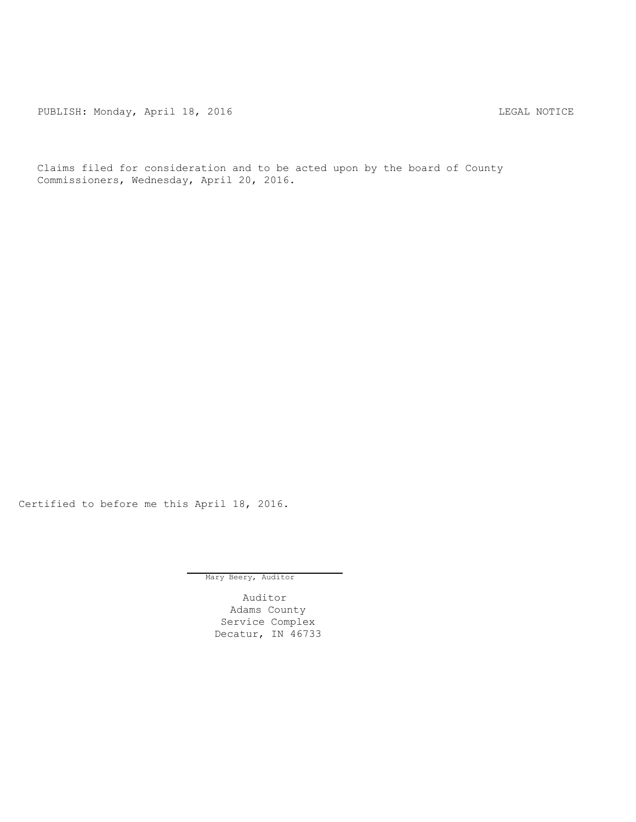PUBLISH: Monday, April 18, 2016 CHANGER AND THE MOTICE

Claims filed for consideration and to be acted upon by the board of County Commissioners, Wednesday, April 20, 2016.

Certified to before me this April 18, 2016.

Mary Beery, Auditor

Auditor Adams County Service Complex Decatur, IN 46733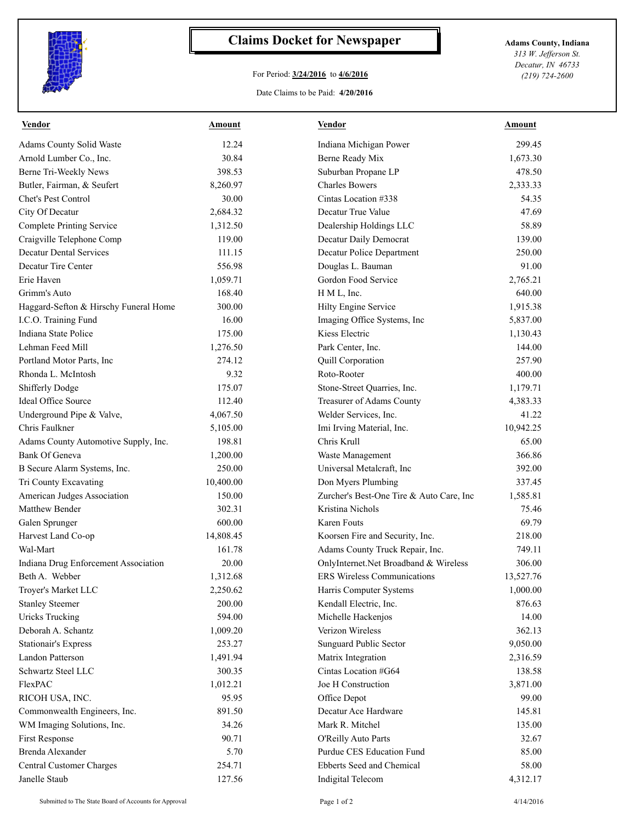

## **Claims Docket for Newspaper Adams County, Indiana**

## For Period: **3/24/2016** to **4/6/2016**

Date Claims to be Paid: **4/20/2016**

*313 W. Jefferson St. Decatur, IN 46733 (219) 724-2600*

| <b>Vendor</b>                         | <b>Amount</b> | <b>Vendor</b>                            | <b>Amount</b> |
|---------------------------------------|---------------|------------------------------------------|---------------|
| Adams County Solid Waste              | 12.24         | Indiana Michigan Power                   | 299.45        |
| Arnold Lumber Co., Inc.               | 30.84         | Berne Ready Mix                          | 1,673.30      |
| Berne Tri-Weekly News                 | 398.53        | Suburban Propane LP                      | 478.50        |
| Butler, Fairman, & Seufert            | 8,260.97      | <b>Charles Bowers</b>                    | 2,333.33      |
| Chet's Pest Control                   | 30.00         | Cintas Location #338                     | 54.35         |
| City Of Decatur                       | 2,684.32      | Decatur True Value                       | 47.69         |
| <b>Complete Printing Service</b>      | 1,312.50      | Dealership Holdings LLC                  | 58.89         |
| Craigville Telephone Comp             | 119.00        | Decatur Daily Democrat                   | 139.00        |
| <b>Decatur Dental Services</b>        | 111.15        | Decatur Police Department                | 250.00        |
| Decatur Tire Center                   | 556.98        | Douglas L. Bauman                        | 91.00         |
| Erie Haven                            | 1,059.71      | Gordon Food Service                      | 2,765.21      |
| Grimm's Auto                          | 168.40        | H M L, Inc.                              | 640.00        |
| Haggard-Sefton & Hirschy Funeral Home | 300.00        | Hilty Engine Service                     | 1,915.38      |
| I.C.O. Training Fund                  | 16.00         | Imaging Office Systems, Inc              | 5,837.00      |
| Indiana State Police                  | 175.00        | Kiess Electric                           | 1,130.43      |
| Lehman Feed Mill                      | 1,276.50      | Park Center, Inc.                        | 144.00        |
| Portland Motor Parts, Inc             | 274.12        | Quill Corporation                        | 257.90        |
| Rhonda L. McIntosh                    | 9.32          | Roto-Rooter                              | 400.00        |
| <b>Shifferly Dodge</b>                | 175.07        | Stone-Street Quarries, Inc.              | 1,179.71      |
| Ideal Office Source                   | 112.40        | <b>Treasurer of Adams County</b>         | 4,383.33      |
| Underground Pipe & Valve,             | 4,067.50      | Welder Services, Inc.                    | 41.22         |
| Chris Faulkner                        | 5,105.00      | Imi Irving Material, Inc.                | 10,942.25     |
| Adams County Automotive Supply, Inc.  | 198.81        | Chris Krull                              | 65.00         |
| Bank Of Geneva                        | 1,200.00      | Waste Management                         | 366.86        |
| B Secure Alarm Systems, Inc.          | 250.00        | Universal Metalcraft, Inc                | 392.00        |
| Tri County Excavating                 | 10,400.00     | Don Myers Plumbing                       | 337.45        |
| American Judges Association           | 150.00        | Zurcher's Best-One Tire & Auto Care, Inc | 1,585.81      |
| Matthew Bender                        | 302.31        | Kristina Nichols                         | 75.46         |
| Galen Sprunger                        | 600.00        | Karen Fouts                              | 69.79         |
| Harvest Land Co-op                    | 14,808.45     | Koorsen Fire and Security, Inc.          | 218.00        |
| Wal-Mart                              | 161.78        | Adams County Truck Repair, Inc.          | 749.11        |
| Indiana Drug Enforcement Association  | 20.00         | OnlyInternet.Net Broadband & Wireless    | 306.00        |
| Beth A. Webber                        | 1,312.68      | <b>ERS</b> Wireless Communications       | 13,527.76     |
| Troyer's Market LLC                   | 2,250.62      | Harris Computer Systems                  | 1,000.00      |
| <b>Stanley Steemer</b>                | 200.00        | Kendall Electric, Inc.                   | 876.63        |
| <b>Uricks Trucking</b>                | 594.00        | Michelle Hackenjos                       | 14.00         |
| Deborah A. Schantz                    | 1,009.20      | Verizon Wireless                         | 362.13        |
| Stationair's Express                  | 253.27        | Sunguard Public Sector                   | 9,050.00      |
| Landon Patterson                      | 1,491.94      | Matrix Integration                       | 2,316.59      |
| Schwartz Steel LLC                    | 300.35        | Cintas Location #G64                     | 138.58        |
| FlexPAC                               | 1,012.21      | Joe H Construction                       | 3,871.00      |
| RICOH USA, INC.                       | 95.95         | Office Depot                             | 99.00         |
| Commonwealth Engineers, Inc.          | 891.50        | Decatur Ace Hardware                     | 145.81        |
| WM Imaging Solutions, Inc.            | 34.26         | Mark R. Mitchel                          | 135.00        |
| First Response                        | 90.71         | O'Reilly Auto Parts                      | 32.67         |
| Brenda Alexander                      | 5.70          | Purdue CES Education Fund                | 85.00         |
| Central Customer Charges              | 254.71        | Ebberts Seed and Chemical                | 58.00         |
| Janelle Staub                         | 127.56        | Indigital Telecom                        | 4,312.17      |